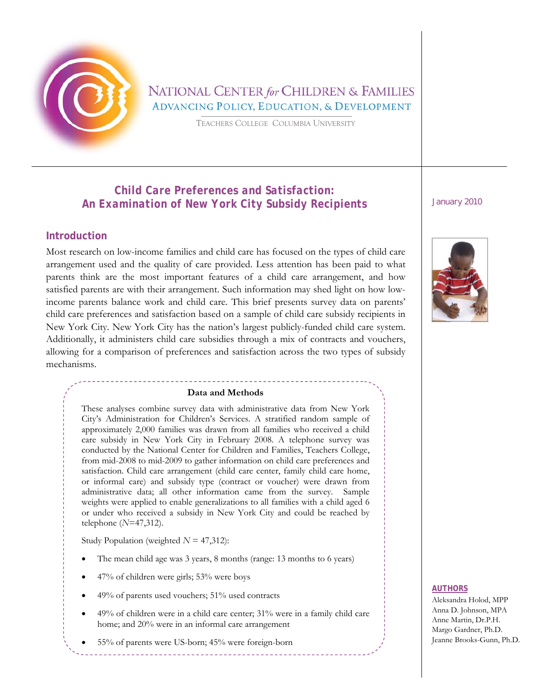

# NATIONAL CENTER for CHILDREN & FAMILIES **ADVANCING POLICY, EDUCATION, & DEVELOPMENT**

TEACHERS COLLEGE COLUMBIA UNIVERSITY

## *Child Care Preferences and Satisfaction: An Examination of New York City Subsidy Recipients January 2010*

### **Introduction**

Most research on low-income families and child care has focused on the types of child care arrangement used and the quality of care provided. Less attention has been paid to what parents think are the most important features of a child care arrangement, and how satisfied parents are with their arrangement. Such information may shed light on how lowincome parents balance work and child care. This brief presents survey data on parents' child care preferences and satisfaction based on a sample of child care subsidy recipients in New York City. New York City has the nation's largest publicly-funded child care system. Additionally, it administers child care subsidies through a mix of contracts and vouchers, allowing for a comparison of preferences and satisfaction across the two types of subsidy mechanisms.

### **Data and Methods**

These analyses combine survey data with administrative data from New York City's Administration for Children's Services. A stratified random sample of approximately 2,000 families was drawn from all families who received a child care subsidy in New York City in February 2008. A telephone survey was conducted by the National Center for Children and Families, Teachers College, from mid-2008 to mid-2009 to gather information on child care preferences and satisfaction. Child care arrangement (child care center, family child care home, or informal care) and subsidy type (contract or voucher) were drawn from administrative data; all other information came from the survey. Sample weights were applied to enable generalizations to all families with a child aged 6 or under who received a subsidy in New York City and could be reached by telephone (*N*=47,312).

Study Population (weighted *N* = 47,312):

- The mean child age was 3 years, 8 months (range: 13 months to 6 years)
- 47% of children were girls; 53% were boys
- 49% of parents used vouchers; 51% used contracts
- 49% of children were in a child care center; 31% were in a family child care home; and 20% were in an informal care arrangement
- 55% of parents were US-born; 45% were foreign-born



### **AUTHORS**

Aleksandra Holod, MPP Anna D. Johnson, MPA Anne Martin, Dr.P.H. Margo Gardner, Ph.D. Jeanne Brooks-Gunn, Ph.D.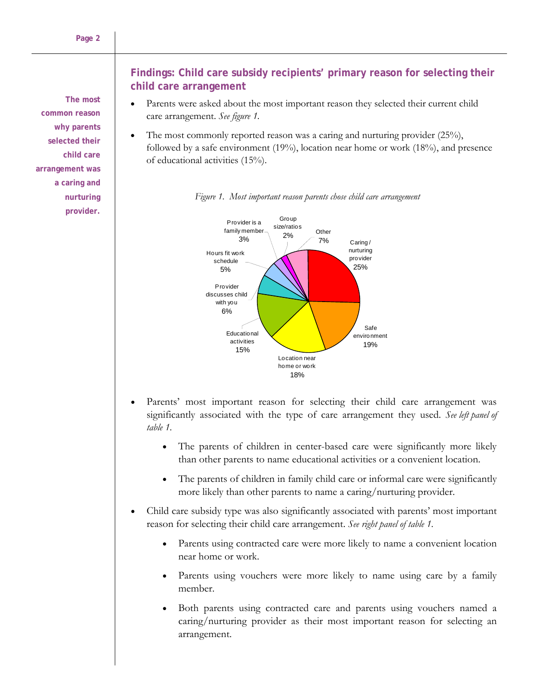**The most common reason why parents selected their child care arrangement was a caring and nurturing provider.** 

## **Findings: Child care subsidy recipients' primary reason for selecting their child care arrangement**

- Parents were asked about the most important reason they selected their current child care arrangement. *See figure 1.*
- The most commonly reported reason was a caring and nurturing provider (25%), followed by a safe environment (19%), location near home or work (18%), and presence of educational activities (15%).





- Parents' most important reason for selecting their child care arrangement was significantly associated with the type of care arrangement they used. *See left panel of table 1.*
	- The parents of children in center-based care were significantly more likely than other parents to name educational activities or a convenient location.
	- The parents of children in family child care or informal care were significantly more likely than other parents to name a caring/nurturing provider.
- Child care subsidy type was also significantly associated with parents' most important reason for selecting their child care arrangement. *See right panel of table 1.*
	- Parents using contracted care were more likely to name a convenient location near home or work.
	- Parents using vouchers were more likely to name using care by a family member.
	- Both parents using contracted care and parents using vouchers named a caring/nurturing provider as their most important reason for selecting an arrangement.